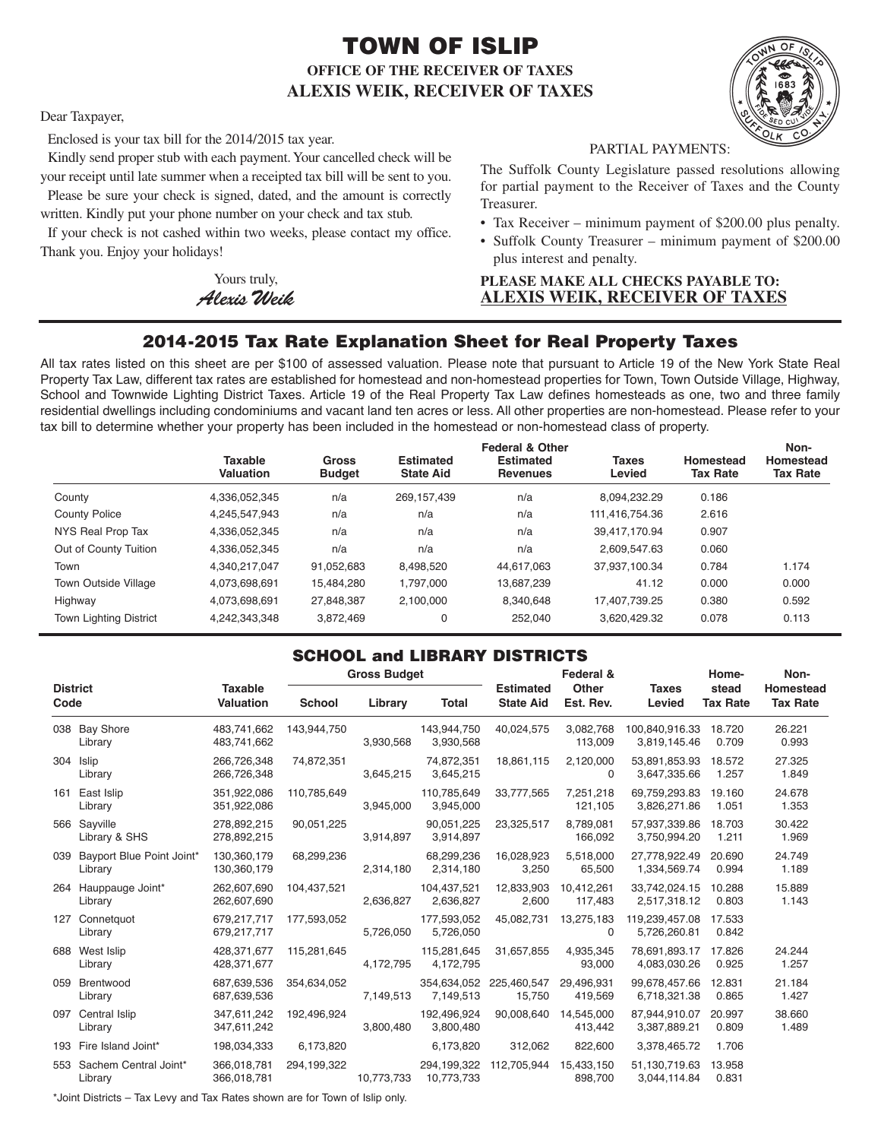# **TOWN OF ISLIP OFFICE OF THE RECEIVER OF TAXES ALEXIS WEIK, RECEIVER OF TAXES**



Dear Taxpayer,

Enclosed is your tax bill for the 2014/2015 tax year.

Kindly send proper stub with each payment.Your cancelled check will be your receipt until late summer when a receipted tax bill will be sent to you.

Please be sure your check is signed, dated, and the amount is correctly written. Kindly put your phone number on your check and tax stub.

If your check is not cashed within two weeks, please contact my office. Thank you. Enjoy your holidays!

> Yours truly, *AlexisWeik*

PARTIAL PAYMENTS:

The Suffolk County Legislature passed resolutions allowing for partial payment to the Receiver of Taxes and the County Treasurer.

- Tax Receiver minimum payment of \$200.00 plus penalty.
- Suffolk County Treasurer minimum payment of \$200.00 plus interest and penalty.

## **PLEASE MAKE ALL CHECKS PAYABLE TO: ALEXIS WEIK, RECEIVER OF TAXES**

# **2014-2015 Tax Rate Explanation Sheet for Real Property Taxes**

All tax rates listed on this sheet are per \$100 of assessed valuation. Please note that pursuant to Article 19 of the New York State Real Property Tax Law, different tax rates are established for homestead and non-homestead properties for Town, Town Outside Village, Highway, School and Townwide Lighting District Taxes. Article 19 of the Real Property Tax Law defines homesteads as one, two and three family residential dwellings including condominiums and vacant land ten acres or less. All other properties are non-homestead. Please refer to your tax bill to determine whether your property has been included in the homestead or non-homestead class of property.

|                               | <b>Taxable</b><br>Valuation | <b>Gross</b><br><b>Budget</b> | <b>Estimated</b><br><b>State Aid</b> | <b>Federal &amp; Other</b><br><b>Estimated</b><br><b>Revenues</b> | <b>Taxes</b><br>Levied | Homestead<br><b>Tax Rate</b> | Non-<br>Homestead<br><b>Tax Rate</b> |
|-------------------------------|-----------------------------|-------------------------------|--------------------------------------|-------------------------------------------------------------------|------------------------|------------------------------|--------------------------------------|
| County                        | 4,336,052,345               | n/a                           | 269,157,439                          | n/a                                                               | 8,094,232.29           | 0.186                        |                                      |
| <b>County Police</b>          | 4,245,547,943               | n/a                           | n/a                                  | n/a                                                               | 111,416,754.36         | 2.616                        |                                      |
| NYS Real Prop Tax             | 4,336,052,345               | n/a                           | n/a                                  | n/a                                                               | 39.417.170.94          | 0.907                        |                                      |
| Out of County Tuition         | 4,336,052,345               | n/a                           | n/a                                  | n/a                                                               | 2.609.547.63           | 0.060                        |                                      |
| Town                          | 4.340.217.047               | 91.052.683                    | 8.498.520                            | 44.617.063                                                        | 37.937.100.34          | 0.784                        | 1.174                                |
| <b>Town Outside Village</b>   | 4,073,698,691               | 15,484,280                    | 1.797.000                            | 13,687,239                                                        | 41.12                  | 0.000                        | 0.000                                |
| Highway                       | 4,073,698,691               | 27.848.387                    | 2.100.000                            | 8.340.648                                                         | 17.407.739.25          | 0.380                        | 0.592                                |
| <b>Town Lighting District</b> | 4,242,343,348               | 3,872,469                     | 0                                    | 252.040                                                           | 3.620.429.32           | 0.078                        | 0.113                                |

## **SCHOOL and LIBRARY DISTRICTS**

| <b>District</b><br>Code |                                      |                                    | <b>Gross Budget</b> |            |                           | Federal &                            |                           | Home-                          | Non-                     |                              |
|-------------------------|--------------------------------------|------------------------------------|---------------------|------------|---------------------------|--------------------------------------|---------------------------|--------------------------------|--------------------------|------------------------------|
|                         |                                      | <b>Taxable</b><br><b>Valuation</b> | <b>School</b>       | Library    | <b>Total</b>              | <b>Estimated</b><br><b>State Aid</b> | <b>Other</b><br>Est. Rev. | <b>Taxes</b><br>Levied         | stead<br><b>Tax Rate</b> | Homestead<br><b>Tax Rate</b> |
|                         | 038 Bay Shore<br>Library             | 483.741.662<br>483,741,662         | 143,944,750         | 3,930,568  | 143,944,750<br>3,930,568  | 40,024,575                           | 3,082,768<br>113,009      | 100.840.916.33<br>3,819,145.46 | 18.720<br>0.709          | 26.221<br>0.993              |
|                         | 304 Islip<br>Library                 | 266,726,348<br>266,726,348         | 74,872,351          | 3,645,215  | 74,872,351<br>3,645,215   | 18,861,115                           | 2,120,000<br>$\Omega$     | 53,891,853.93<br>3,647,335.66  | 18.572<br>1.257          | 27.325<br>1.849              |
| 161                     | East Islip<br>Library                | 351,922,086<br>351,922,086         | 110,785,649         | 3,945,000  | 110,785,649<br>3,945,000  | 33,777,565                           | 7,251,218<br>121,105      | 69,759,293.83<br>3,826,271.86  | 19.160<br>1.051          | 24.678<br>1.353              |
|                         | 566 Sayville<br>Library & SHS        | 278,892,215<br>278,892,215         | 90,051,225          | 3,914,897  | 90,051,225<br>3,914,897   | 23,325,517                           | 8,789,081<br>166,092      | 57,937,339.86<br>3,750,994.20  | 18.703<br>1.211          | 30.422<br>1.969              |
| 039                     | Bayport Blue Point Joint*<br>Library | 130.360.179<br>130,360,179         | 68,299,236          | 2,314,180  | 68,299,236<br>2,314,180   | 16,028,923<br>3,250                  | 5,518,000<br>65,500       | 27.778.922.49<br>1,334,569.74  | 20.690<br>0.994          | 24.749<br>1.189              |
|                         | 264 Hauppauge Joint*<br>Library      | 262.607.690<br>262,607,690         | 104,437,521         | 2,636,827  | 104,437,521<br>2,636,827  | 12,833,903<br>2,600                  | 10.412.261<br>117,483     | 33.742.024.15<br>2,517,318.12  | 10.288<br>0.803          | 15.889<br>1.143              |
|                         | 127 Connetauot<br>Library            | 679,217,717<br>679,217,717         | 177,593,052         | 5,726,050  | 177,593,052<br>5,726,050  | 45,082,731                           | 13,275,183<br>$\Omega$    | 119.239.457.08<br>5,726,260.81 | 17.533<br>0.842          |                              |
| 688                     | West Islip<br>Library                | 428.371.677<br>428,371,677         | 115,281,645         | 4,172,795  | 115,281,645<br>4,172,795  | 31,657,855                           | 4,935,345<br>93,000       | 78,691,893.17<br>4,083,030.26  | 17.826<br>0.925          | 24.244<br>1.257              |
| 059                     | Brentwood<br>Library                 | 687,639,536<br>687,639,536         | 354,634,052         | 7,149,513  | 7,149,513                 | 354,634,052 225,460,547<br>15,750    | 29,496,931<br>419,569     | 99,678,457.66<br>6,718,321.38  | 12.831<br>0.865          | 21.184<br>1.427              |
|                         | 097 Central Islip<br>Library         | 347,611,242<br>347,611,242         | 192,496,924         | 3,800,480  | 192,496,924<br>3,800,480  | 90,008,640                           | 14.545.000<br>413,442     | 87,944,910.07<br>3,387,889.21  | 20.997<br>0.809          | 38.660<br>1.489              |
|                         | 193 Fire Island Joint*               | 198,034,333                        | 6,173,820           |            | 6,173,820                 | 312,062                              | 822,600                   | 3,378,465.72                   | 1.706                    |                              |
|                         | 553 Sachem Central Joint*<br>Library | 366,018,781<br>366,018,781         | 294,199,322         | 10,773,733 | 294,199,322<br>10,773,733 | 112,705,944                          | 15,433,150<br>898,700     | 51,130,719.63<br>3,044,114.84  | 13.958<br>0.831          |                              |

\*Joint Districts – Tax Levy and Tax Rates shown are for Town of Islip only.